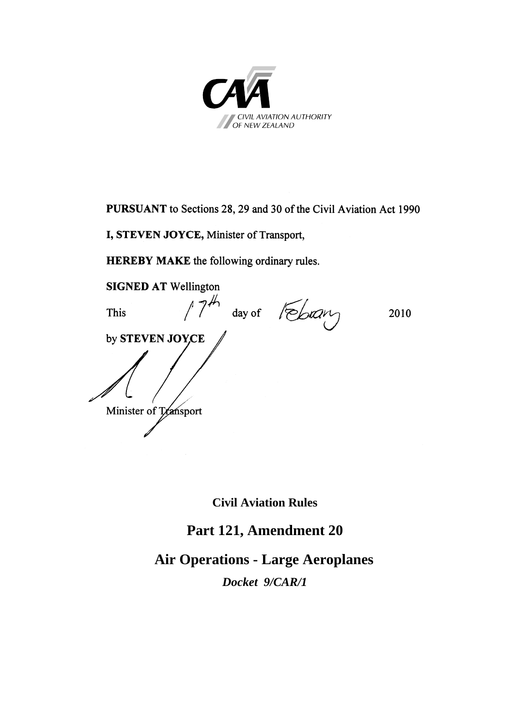

**PURSUANT** to Sections 28, 29 and 30 of the Civil Aviation Act 1990

**I, STEVEN JOYCE,** Minister of Transport,

**HEREBY MAKE** the following ordinary rules.

**SIGNED AT** Wellington This  $/7^{4/7}$  day of  $\sqrt{2010}$ by **STEVEN JOYCE** Minister of Transport Minister of Transport

**Civil Aviation Rules** 

## **Part 121, Amendment 20**

## **Air Operations - Large Aeroplanes**

*Docket 9/CAR/1*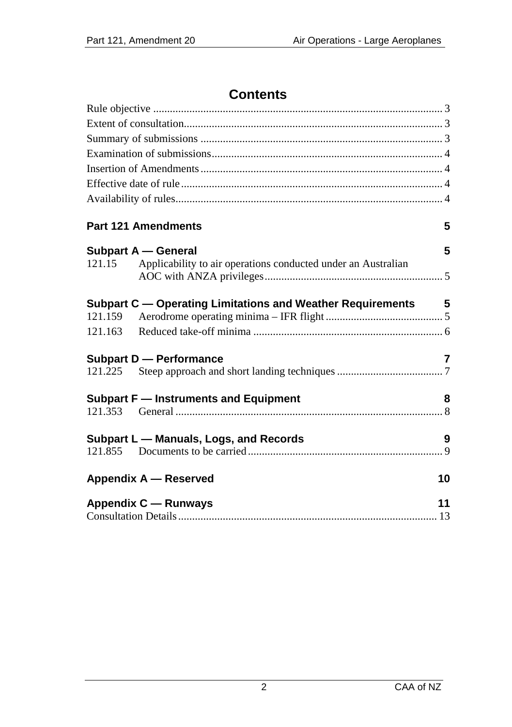## **Contents**

|         | <b>Part 121 Amendments</b>                                    | 5              |
|---------|---------------------------------------------------------------|----------------|
|         | Subpart A - General                                           | 5              |
| 121.15  | Applicability to air operations conducted under an Australian |                |
| 121.159 | Subpart C — Operating Limitations and Weather Requirements 5  |                |
| 121.163 |                                                               |                |
|         | Subpart D - Performance                                       | $\overline{7}$ |
|         |                                                               |                |
|         | Subpart F - Instruments and Equipment                         | 8              |
|         |                                                               |                |
|         | Subpart L - Manuals, Logs, and Records                        | 9              |
| 121.855 |                                                               |                |
|         | <b>Appendix A - Reserved</b>                                  | 10             |
|         | Appendix C — Runways                                          | 11             |
|         |                                                               |                |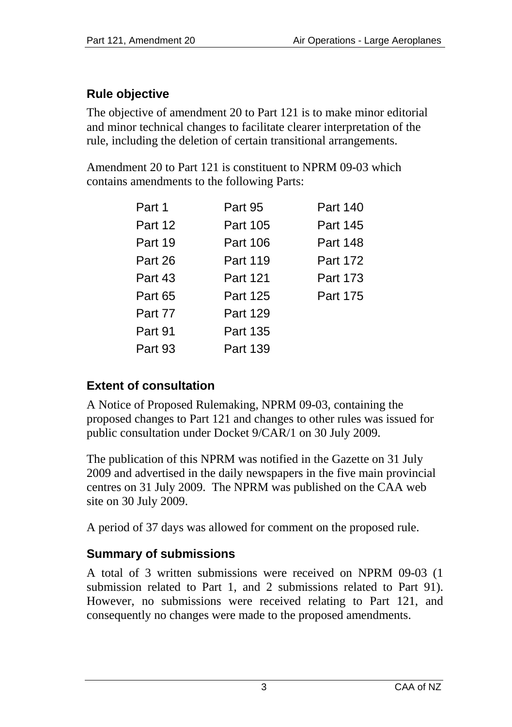## <span id="page-2-1"></span><span id="page-2-0"></span>**Rule objective**

The objective of amendment 20 to Part 121 is to make minor editorial and minor technical changes to facilitate clearer interpretation of the rule, including the deletion of certain transitional arrangements.

Amendment 20 to Part 121 is constituent to NPRM 09-03 which contains amendments to the following Parts:

| Part 1  | Part 95  | Part 140 |
|---------|----------|----------|
| Part 12 | Part 105 | Part 145 |
| Part 19 | Part 106 | Part 148 |
| Part 26 | Part 119 | Part 172 |
| Part 43 | Part 121 | Part 173 |
| Part 65 | Part 125 | Part 175 |
| Part 77 | Part 129 |          |
| Part 91 | Part 135 |          |
| Part 93 | Part 139 |          |
|         |          |          |

## <span id="page-2-2"></span>**Extent of consultation**

A Notice of Proposed Rulemaking, NPRM 09-03, containing the proposed changes to Part 121 and changes to other rules was issued for public consultation under Docket 9/CAR/1 on 30 July 2009.

The publication of this NPRM was notified in the Gazette on 31 July 2009 and advertised in the daily newspapers in the five main provincial centres on 31 July 2009. The NPRM was published on the CAA web site on 30 July 2009.

A period of 37 days was allowed for comment on the proposed rule.

## <span id="page-2-3"></span>**Summary of submissions**

A total of 3 written submissions were received on NPRM 09-03 (1 submission related to Part 1, and 2 submissions related to Part 91). However, no submissions were received relating to Part 121, and consequently no changes were made to the proposed amendments.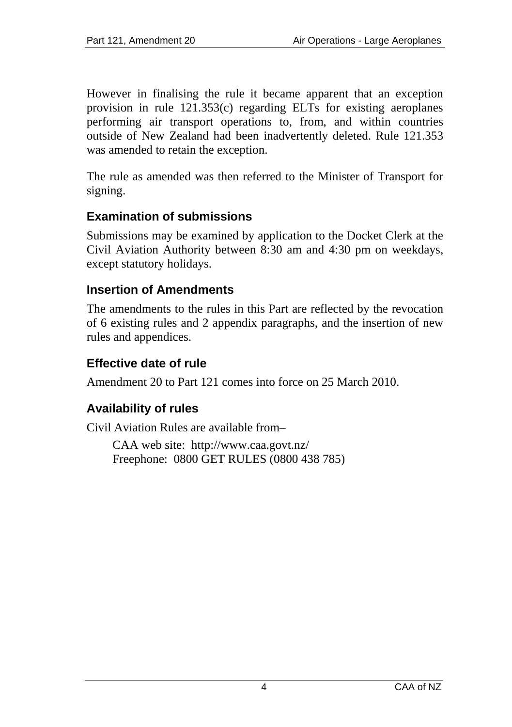<span id="page-3-0"></span>However in finalising the rule it became apparent that an exception provision in rule 121.353(c) regarding ELTs for existing aeroplanes performing air transport operations to, from, and within countries outside of New Zealand had been inadvertently deleted. Rule 121.353 was amended to retain the exception.

The rule as amended was then referred to the Minister of Transport for signing.

### <span id="page-3-1"></span>**Examination of submissions**

Submissions may be examined by application to the Docket Clerk at the Civil Aviation Authority between 8:30 am and 4:30 pm on weekdays, except statutory holidays.

#### <span id="page-3-2"></span>**Insertion of Amendments**

The amendments to the rules in this Part are reflected by the revocation of 6 existing rules and 2 appendix paragraphs, and the insertion of new rules and appendices.

### <span id="page-3-3"></span>**Effective date of rule**

Amendment 20 to Part 121 comes into force on 25 March 2010.

## <span id="page-3-4"></span>**Availability of rules**

Civil Aviation Rules are available from–

CAA web site: <http://www.caa.govt.nz/> Freephone: 0800 GET RULES (0800 438 785)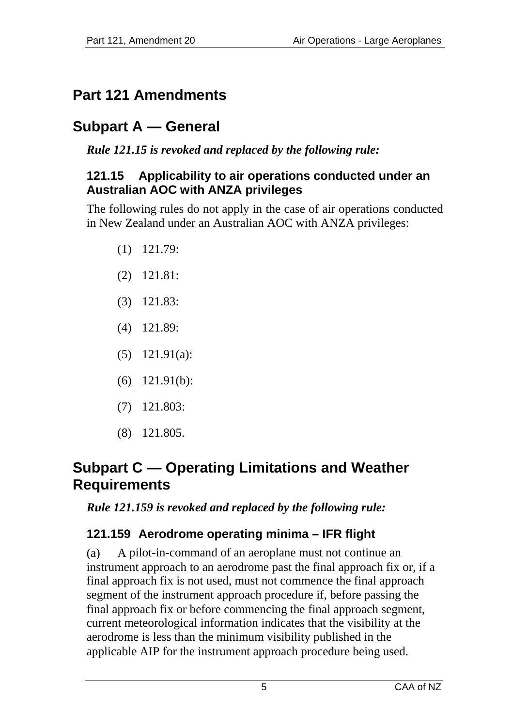# <span id="page-4-1"></span><span id="page-4-0"></span>**Part 121 Amendments**

# <span id="page-4-2"></span>**Subpart A — General**

*Rule 121.15 is revoked and replaced by the following rule:* 

#### <span id="page-4-3"></span>**121.15 Applicability to air operations conducted under an Australian AOC with ANZA privileges**

The following rules do not apply in the case of air operations conducted in New Zealand under an Australian AOC with ANZA privileges:

- (1) 121.79:
- (2) 121.81:
- (3) 121.83:
- (4) 121.89:
- (5) 121.91(a):
- (6) 121.91(b):
- (7) 121.803:
- (8) 121.805.

## <span id="page-4-4"></span>**Subpart C — Operating Limitations and Weather Requirements**

*Rule 121.159 is revoked and replaced by the following rule:* 

## <span id="page-4-5"></span>**121.159 Aerodrome operating minima – IFR flight**

(a) A pilot-in-command of an aeroplane must not continue an instrument approach to an aerodrome past the final approach fix or, if a final approach fix is not used, must not commence the final approach segment of the instrument approach procedure if, before passing the final approach fix or before commencing the final approach segment, current meteorological information indicates that the visibility at the aerodrome is less than the minimum visibility published in the applicable AIP for the instrument approach procedure being used.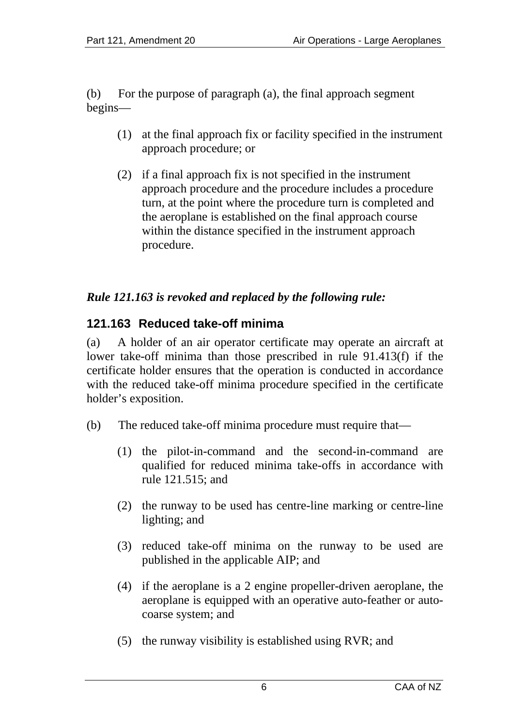<span id="page-5-0"></span>(b) For the purpose of paragraph (a), the final approach segment begins—

- (1) at the final approach fix or facility specified in the instrument approach procedure; or
- (2) if a final approach fix is not specified in the instrument approach procedure and the procedure includes a procedure turn, at the point where the procedure turn is completed and the aeroplane is established on the final approach course within the distance specified in the instrument approach procedure.

### *Rule 121.163 is revoked and replaced by the following rule:*

## <span id="page-5-1"></span>**121.163 Reduced take-off minima**

(a) A holder of an air operator certificate may operate an aircraft at lower take-off minima than those prescribed in rule 91.413(f) if the certificate holder ensures that the operation is conducted in accordance with the reduced take-off minima procedure specified in the certificate holder's exposition.

- (b) The reduced take-off minima procedure must require that—
	- (1) the pilot-in-command and the second-in-command are qualified for reduced minima take-offs in accordance with rule 121.515; and
	- (2) the runway to be used has centre-line marking or centre-line lighting; and
	- (3) reduced take-off minima on the runway to be used are published in the applicable AIP; and
	- (4) if the aeroplane is a 2 engine propeller-driven aeroplane, the aeroplane is equipped with an operative auto-feather or autocoarse system; and
	- (5) the runway visibility is established using RVR; and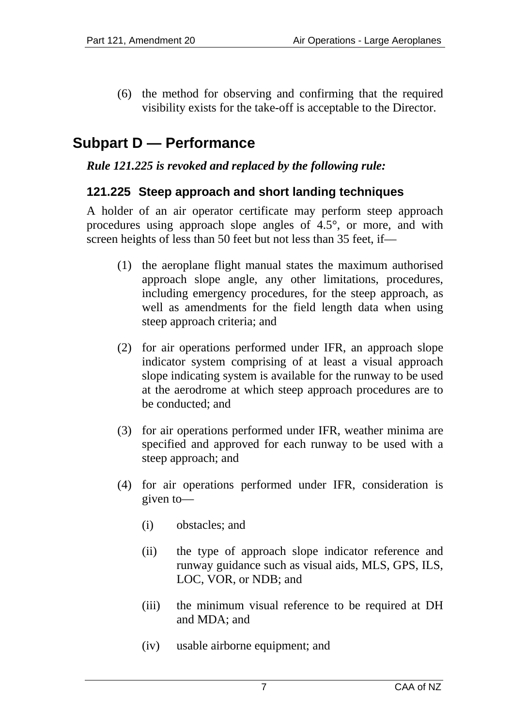<span id="page-6-0"></span>(6) the method for observing and confirming that the required visibility exists for the take-off is acceptable to the Director.

# <span id="page-6-1"></span>**Subpart D — Performance**

#### *Rule 121.225 is revoked and replaced by the following rule:*

#### <span id="page-6-2"></span>**121.225 Steep approach and short landing techniques**

A holder of an air operator certificate may perform steep approach procedures using approach slope angles of 4.5°, or more, and with screen heights of less than 50 feet but not less than 35 feet, if—

- (1) the aeroplane flight manual states the maximum authorised approach slope angle, any other limitations, procedures, including emergency procedures, for the steep approach, as well as amendments for the field length data when using steep approach criteria; and
- (2) for air operations performed under IFR, an approach slope indicator system comprising of at least a visual approach slope indicating system is available for the runway to be used at the aerodrome at which steep approach procedures are to be conducted; and
- (3) for air operations performed under IFR, weather minima are specified and approved for each runway to be used with a steep approach; and
- (4) for air operations performed under IFR, consideration is given to—
	- (i) obstacles; and
	- (ii) the type of approach slope indicator reference and runway guidance such as visual aids, MLS, GPS, ILS, LOC, VOR, or NDB; and
	- (iii) the minimum visual reference to be required at DH and MDA; and
	- (iv) usable airborne equipment; and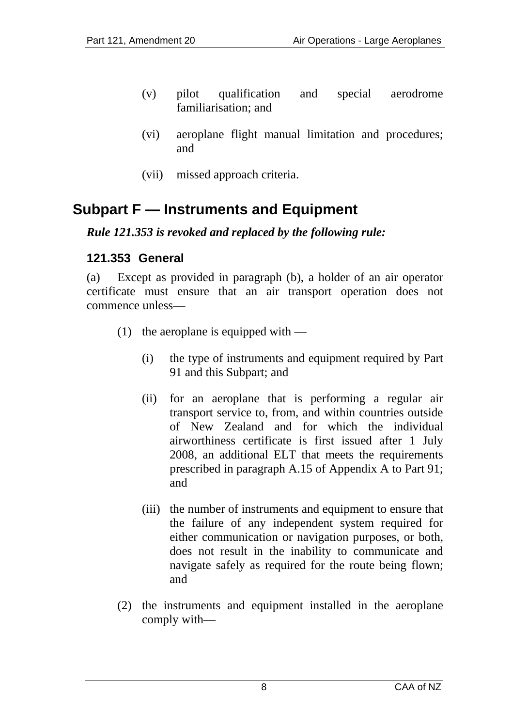- <span id="page-7-0"></span>(v) pilot qualification and special aerodrome familiarisation; and
- (vi) aeroplane flight manual limitation and procedures; and
- (vii) missed approach criteria.

## <span id="page-7-1"></span>**Subpart F — Instruments and Equipment**

#### *Rule 121.353 is revoked and replaced by the following rule:*

### <span id="page-7-2"></span>**121.353 General**

(a) Except as provided in paragraph (b), a holder of an air operator certificate must ensure that an air transport operation does not commence unless—

- (1) the aeroplane is equipped with
	- (i) the type of instruments and equipment required by Part 91 and this Subpart; and
	- (ii) for an aeroplane that is performing a regular air transport service to, from, and within countries outside of New Zealand and for which the individual airworthiness certificate is first issued after 1 July 2008, an additional ELT that meets the requirements prescribed in paragraph A.15 of Appendix A to Part 91; and
	- (iii) the number of instruments and equipment to ensure that the failure of any independent system required for either communication or navigation purposes, or both, does not result in the inability to communicate and navigate safely as required for the route being flown; and
- (2) the instruments and equipment installed in the aeroplane comply with—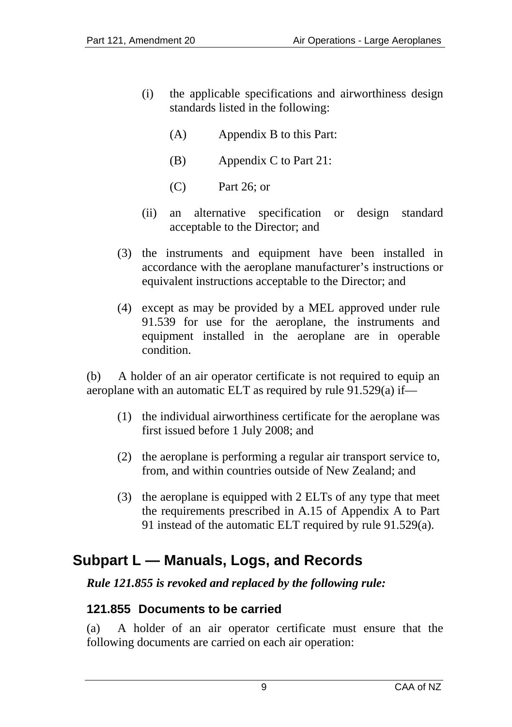- <span id="page-8-0"></span>(i) the applicable specifications and airworthiness design standards listed in the following:
	- (A) Appendix B to this Part:
	- (B) Appendix C to Part 21:
	- (C) Part 26; or
- (ii) an alternative specification or design standard acceptable to the Director; and
- (3) the instruments and equipment have been installed in accordance with the aeroplane manufacturer's instructions or equivalent instructions acceptable to the Director; and
- (4) except as may be provided by a MEL approved under rule 91.539 for use for the aeroplane, the instruments and equipment installed in the aeroplane are in operable condition.

(b) A holder of an air operator certificate is not required to equip an aeroplane with an automatic ELT as required by rule 91.529(a) if—

- (1) the individual airworthiness certificate for the aeroplane was first issued before 1 July 2008; and
- (2) the aeroplane is performing a regular air transport service to, from, and within countries outside of New Zealand; and
- (3) the aeroplane is equipped with 2 ELTs of any type that meet the requirements prescribed in A.15 of Appendix A to Part 91 instead of the automatic ELT required by rule 91.529(a).

## <span id="page-8-1"></span>**Subpart L — Manuals, Logs, and Records**

### *Rule 121.855 is revoked and replaced by the following rule:*

#### <span id="page-8-2"></span>**121.855 Documents to be carried**

(a) A holder of an air operator certificate must ensure that the following documents are carried on each air operation: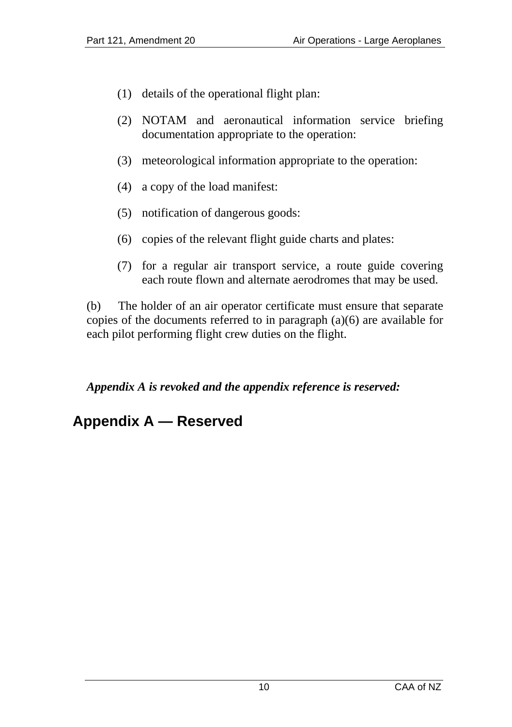- <span id="page-9-0"></span>(1) details of the operational flight plan:
- (2) NOTAM and aeronautical information service briefing documentation appropriate to the operation:
- (3) meteorological information appropriate to the operation:
- (4) a copy of the load manifest:
- (5) notification of dangerous goods:
- (6) copies of the relevant flight guide charts and plates:
- (7) for a regular air transport service, a route guide covering each route flown and alternate aerodromes that may be used.

(b) The holder of an air operator certificate must ensure that separate copies of the documents referred to in paragraph (a)(6) are available for each pilot performing flight crew duties on the flight.

*Appendix A is revoked and the appendix reference is reserved:* 

# <span id="page-9-1"></span>**Appendix A — Reserved**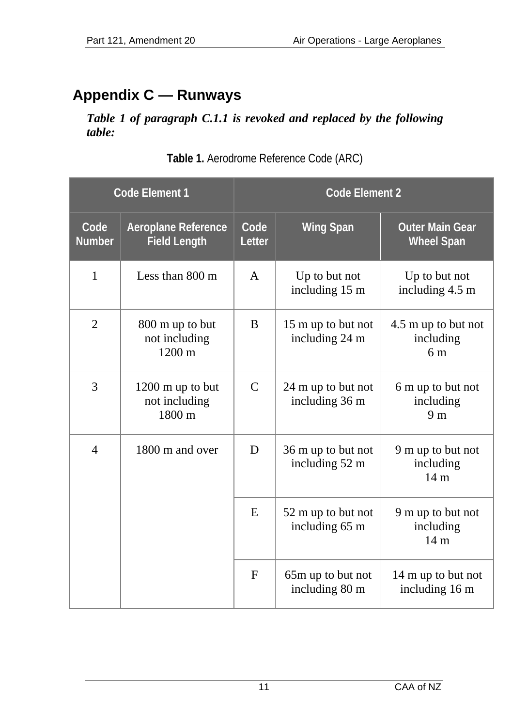# <span id="page-10-1"></span><span id="page-10-0"></span>**Appendix C — Runways**

*Table 1 of paragraph C.1.1 is revoked and replaced by the following table:* 

| Code Element 1           |                                                       | <b>Code Element 2</b> |                                      |                                                    |  |
|--------------------------|-------------------------------------------------------|-----------------------|--------------------------------------|----------------------------------------------------|--|
| Code<br><b>Number</b>    | Aeroplane Reference<br><b>Field Length</b>            | Code<br>Letter        | <b>Wing Span</b>                     | <b>Outer Main Gear</b><br><b>Wheel Span</b>        |  |
| $\mathbf{1}$             | Less than $800 \text{ m}$                             | $\mathsf{A}$          | Up to but not<br>including 15 m      | Up to but not<br>including 4.5 m                   |  |
| $\overline{2}$           | 800 m up to but<br>not including<br>$1200 \text{ m}$  | B                     | 15 m up to but not<br>including 24 m | 4.5 m up to but not<br>including<br>6 <sub>m</sub> |  |
| 3                        | $1200 \text{ m}$ up to but<br>not including<br>1800 m | $\mathcal{C}$         | 24 m up to but not<br>including 36 m | 6 m up to but not<br>including<br>9 <sub>m</sub>   |  |
| $\overline{\mathcal{L}}$ | 1800 m and over                                       | D                     | 36 m up to but not<br>including 52 m | 9 m up to but not<br>including<br>14 <sub>m</sub>  |  |
|                          |                                                       | E                     | 52 m up to but not<br>including 65 m | 9 m up to but not<br>including<br>14 <sub>m</sub>  |  |
|                          |                                                       | F                     | 65m up to but not<br>including 80 m  | 14 m up to but not<br>including 16 m               |  |

**Table 1.** Aerodrome Reference Code (ARC)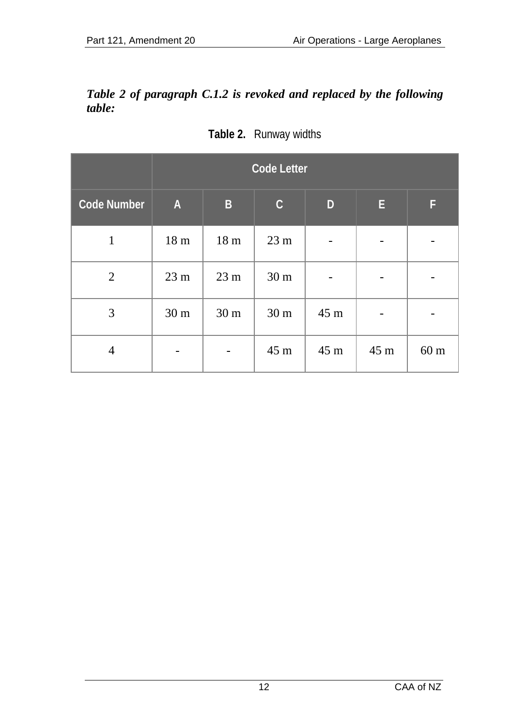#### *Table 2 of paragraph C.1.2 is revoked and replaced by the following table:*

|                    | <b>Code Letter</b>        |                 |                 |              |      |                 |  |
|--------------------|---------------------------|-----------------|-----------------|--------------|------|-----------------|--|
| <b>Code Number</b> | $\boldsymbol{\mathsf{A}}$ | $\overline{B}$  | $\mathsf C$     | $\mathbf{D}$ | E    | F               |  |
| $\mathbf{1}$       | 18 <sub>m</sub>           | 18 <sub>m</sub> | 23 <sub>m</sub> |              |      |                 |  |
| $\overline{2}$     | 23 <sub>m</sub>           | 23 <sub>m</sub> | 30 <sub>m</sub> |              |      |                 |  |
| 3                  | 30 <sub>m</sub>           | 30 <sub>m</sub> | 30 <sub>m</sub> | 45 m         |      |                 |  |
| 4                  |                           | -               | 45 m            | 45 m         | 45 m | 60 <sub>m</sub> |  |

**Table 2.** Runway widths